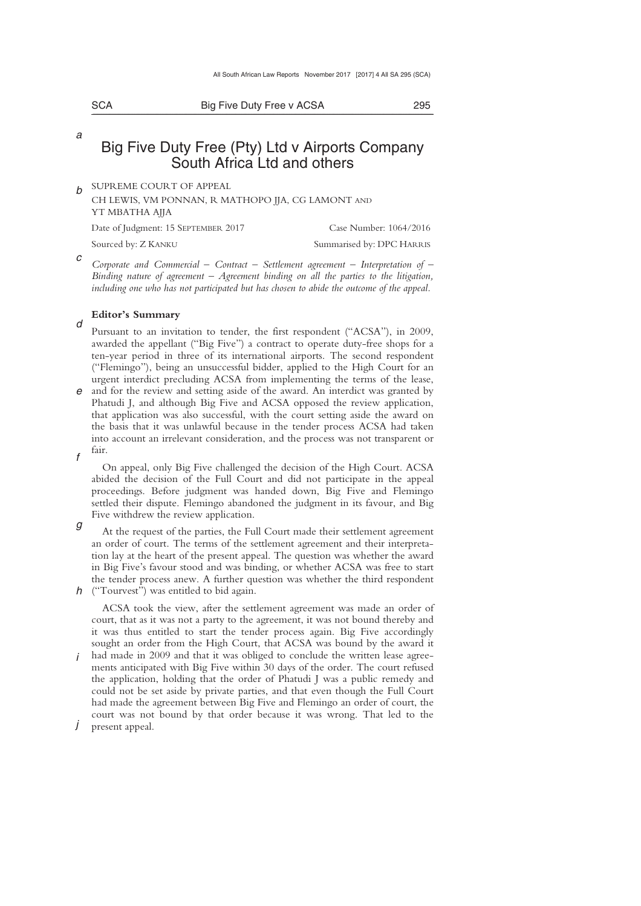| ×<br>۰. | ٦<br>۰, |
|---------|---------|

*a* 

*d* 

Big Five Duty Free v ACSA 295 \_\_\_\_\_\_\_\_\_\_\_\_\_\_\_\_\_\_\_\_\_\_\_\_\_\_\_\_\_\_\_\_\_\_\_\_\_\_\_\_\_\_\_\_\_\_\_\_\_\_\_\_\_\_\_\_\_\_\_\_\_\_\_\_\_\_\_\_\_\_\_\_\_\_\_\_\_\_\_\_\_\_\_\_\_\_\_\_\_\_\_\_\_\_\_\_\_\_\_\_\_\_\_\_\_\_\_\_\_\_\_\_\_\_\_\_\_\_\_\_\_\_\_\_\_\_\_\_\_\_\_\_\_\_\_\_\_\_\_\_\_\_\_

# Big Five Duty Free (Pty) Ltd v Airports Company South Africa Ltd and others

*b*  SUPREME COURT OF APPEAL

CH LEWIS, VM PONNAN, R MATHOPO JJA, CG LAMONT AND YT MBATHA AJJA

Date of Judgment: 15 SEPTEMBER 2017 Case Number: 1064/2016 Sourced by: Z KANKU Summarised by: DPC HARRIS

*c Corporate and Commercial – Contract – Settlement agreement – Interpretation of – Binding nature of agreement – Agreement binding on all the parties to the litigation,*  including one who has not participated but has chosen to abide the outcome of the appeal.

### **Editor's Summary**

Pursuant to an invitation to tender, the first respondent ("ACSA"), in 2009, awarded the appellant ("Big Five") a contract to operate duty-free shops for a ten-year period in three of its international airports. The second respondent ("Flemingo"), being an unsuccessful bidder, applied to the High Court for an urgent interdict precluding ACSA from implementing the terms of the lease,

*e*  and for the review and setting aside of the award. An interdict was granted by *f*  Phatudi J, and although Big Five and ACSA opposed the review application, that application was also successful, with the court setting aside the award on the basis that it was unlawful because in the tender process ACSA had taken into account an irrelevant consideration, and the process was not transparent or fair.

On appeal, only Big Five challenged the decision of the High Court. ACSA abided the decision of the Full Court and did not participate in the appeal proceedings. Before judgment was handed down, Big Five and Flemingo settled their dispute. Flemingo abandoned the judgment in its favour, and Big Five withdrew the review application.

*g h*  ("Tourvest") was entitled to bid again. At the request of the parties, the Full Court made their settlement agreement an order of court. The terms of the settlement agreement and their interpretation lay at the heart of the present appeal. The question was whether the award in Big Five's favour stood and was binding, or whether ACSA was free to start the tender process anew. A further question was whether the third respondent

*i*  ACSA took the view, after the settlement agreement was made an order of court, that as it was not a party to the agreement, it was not bound thereby and it was thus entitled to start the tender process again. Big Five accordingly sought an order from the High Court, that ACSA was bound by the award it had made in 2009 and that it was obliged to conclude the written lease agreements anticipated with Big Five within 30 days of the order. The court refused the application, holding that the order of Phatudi J was a public remedy and could not be set aside by private parties, and that even though the Full Court had made the agreement between Big Five and Flemingo an order of court, the court was not bound by that order because it was wrong. That led to the

*j*  present appeal.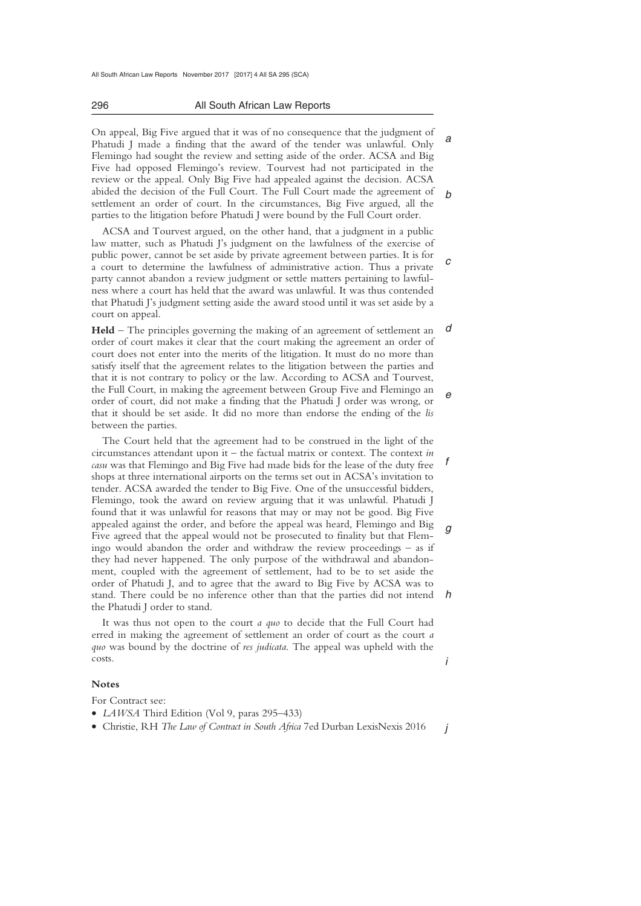#### 296 All South African Law Reports \_\_\_\_\_\_\_\_\_\_\_\_\_\_\_\_\_\_\_\_\_\_\_\_\_\_\_\_\_\_\_\_\_\_\_\_\_\_\_\_\_\_\_\_\_\_\_\_\_\_\_\_\_\_\_\_\_\_\_\_\_\_\_\_\_\_\_\_\_\_\_\_\_\_\_\_\_\_\_\_\_\_\_\_\_\_\_\_\_\_\_\_\_\_\_\_\_\_\_\_\_\_\_\_\_\_\_\_\_\_\_\_\_\_\_\_\_\_\_\_\_\_\_\_\_\_\_\_\_\_\_\_\_\_\_\_\_\_\_\_\_\_\_

*a b*  On appeal, Big Five argued that it was of no consequence that the judgment of Phatudi J made a finding that the award of the tender was unlawful. Only Flemingo had sought the review and setting aside of the order. ACSA and Big Five had opposed Flemingo's review. Tourvest had not participated in the review or the appeal. Only Big Five had appealed against the decision. ACSA abided the decision of the Full Court. The Full Court made the agreement of settlement an order of court. In the circumstances, Big Five argued, all the parties to the litigation before Phatudi J were bound by the Full Court order.

*c*  ACSA and Tourvest argued, on the other hand, that a judgment in a public law matter, such as Phatudi J's judgment on the lawfulness of the exercise of public power, cannot be set aside by private agreement between parties. It is for a court to determine the lawfulness of administrative action. Thus a private party cannot abandon a review judgment or settle matters pertaining to lawfulness where a court has held that the award was unlawful. It was thus contended that Phatudi J's judgment setting aside the award stood until it was set aside by a court on appeal.

*d e*  **Held** – The principles governing the making of an agreement of settlement an order of court makes it clear that the court making the agreement an order of court does not enter into the merits of the litigation. It must do no more than satisfy itself that the agreement relates to the litigation between the parties and that it is not contrary to policy or the law. According to ACSA and Tourvest, the Full Court, in making the agreement between Group Five and Flemingo an order of court, did not make a finding that the Phatudi J order was wrong, or that it should be set aside. It did no more than endorse the ending of the *lis* between the parties.

*f g h*  The Court held that the agreement had to be construed in the light of the circumstances attendant upon it – the factual matrix or context. The context *in casu* was that Flemingo and Big Five had made bids for the lease of the duty free shops at three international airports on the terms set out in ACSA's invitation to tender. ACSA awarded the tender to Big Five. One of the unsuccessful bidders, Flemingo, took the award on review arguing that it was unlawful. Phatudi J found that it was unlawful for reasons that may or may not be good. Big Five appealed against the order, and before the appeal was heard, Flemingo and Big Five agreed that the appeal would not be prosecuted to finality but that Flemingo would abandon the order and withdraw the review proceedings – as if they had never happened. The only purpose of the withdrawal and abandonment, coupled with the agreement of settlement, had to be to set aside the order of Phatudi J, and to agree that the award to Big Five by ACSA was to stand. There could be no inference other than that the parties did not intend the Phatudi J order to stand.

It was thus not open to the court *a quo* to decide that the Full Court had erred in making the agreement of settlement an order of court as the court *a quo* was bound by the doctrine of *res judicata*. The appeal was upheld with the costs.

### **Notes**

For Contract see:

- *LAWSA* Third Edition (Vol 9, paras 295–433)
- Christie, RH *The Law of Contract in South Africa* 7ed Durban LexisNexis 2016

*j* 

*i*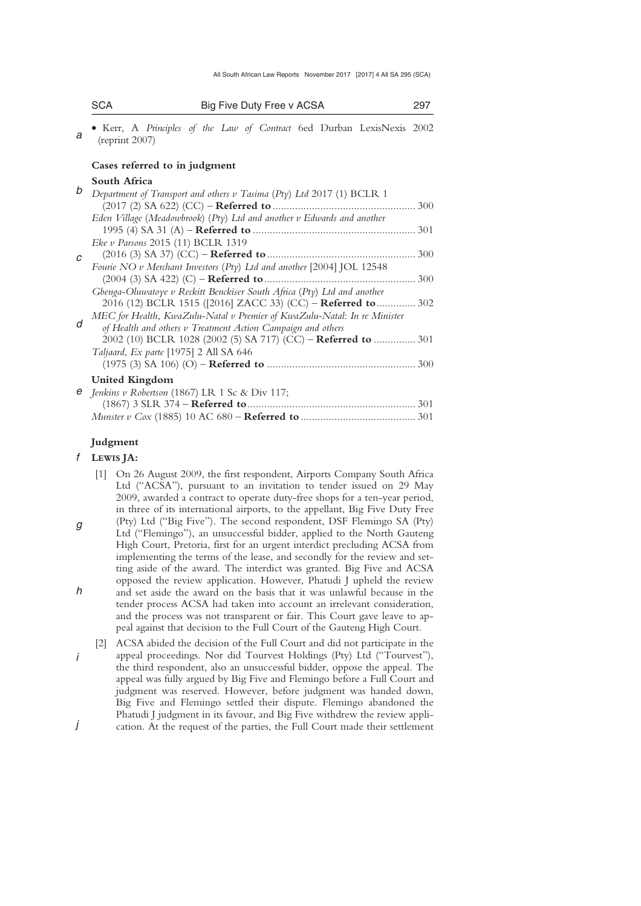| SCA | Big Five Duty Free v ACSA                                              |  |  |  |  |
|-----|------------------------------------------------------------------------|--|--|--|--|
|     | • Kerr, A Principles of the Law of Contract 6ed Durban LexisNexis 2002 |  |  |  |  |

#### *a*  (reprint 2007)

## **Cases referred to in judgment**

# **South Africa**

| b | Department of Transport and others v Tasima (Pty) Ltd 2017 (1) BCLR 1        |  |
|---|------------------------------------------------------------------------------|--|
|   |                                                                              |  |
|   | Eden Village (Meadowbrook) ( $Pty$ ) Ltd and another $v$ Edwards and another |  |
|   |                                                                              |  |
|   | Eke v Parsons 2015 (11) BCLR 1319                                            |  |
| C |                                                                              |  |
|   | Fourie NO v Merchant Investors (Pty) Ltd and another [2004] JOL 12548        |  |
|   | 300                                                                          |  |
|   | Gbenga-Oluwatoye v Reckitt Benckiser South Africa (Pty) Ltd and another      |  |
|   | 2016 (12) BCLR 1515 ([2016] ZACC 33) (CC) – Referred to  302                 |  |
|   | MEC for Health, KwaZulu-Natal v Premier of KwaZulu-Natal: In re Minister     |  |
| d | of Health and others v Treatment Action Campaign and others                  |  |
|   | 2002 (10) BCLR 1028 (2002 (5) SA 717) (CC) – Referred to  301                |  |
|   | Taljaard, Ex parte [1975] 2 All SA 646                                       |  |
|   |                                                                              |  |
|   | <b>United Kingdom</b>                                                        |  |
|   | $e$ Jenkins v Robertson (1867) LR 1 Sc & Div 117;                            |  |
|   | 301                                                                          |  |

# **Judgment**

### *f*  **LEWIS JA:**

 [1] On 26 August 2009, the first respondent, Airports Company South Africa Ltd ("ACSA"), pursuant to an invitation to tender issued on 29 May 2009, awarded a contract to operate duty-free shops for a ten-year period, in three of its international airports, to the appellant, Big Five Duty Free

*Munster v Cox* (1885) 10 AC 680 – **Referred to**......................................... 301

- *g h*  (Pty) Ltd ("Big Five"). The second respondent, DSF Flemingo SA (Pty) Ltd ("Flemingo"), an unsuccessful bidder, applied to the North Gauteng High Court, Pretoria, first for an urgent interdict precluding ACSA from implementing the terms of the lease, and secondly for the review and setting aside of the award. The interdict was granted. Big Five and ACSA opposed the review application. However, Phatudi J upheld the review and set aside the award on the basis that it was unlawful because in the tender process ACSA had taken into account an irrelevant consideration, and the process was not transparent or fair. This Court gave leave to appeal against that decision to the Full Court of the Gauteng High Court.
- *i*  [2] ACSA abided the decision of the Full Court and did not participate in the appeal proceedings. Nor did Tourvest Holdings (Pty) Ltd ("Tourvest"), the third respondent, also an unsuccessful bidder, oppose the appeal. The appeal was fully argued by Big Five and Flemingo before a Full Court and judgment was reserved. However, before judgment was handed down, Big Five and Flemingo settled their dispute. Flemingo abandoned the Phatudi J judgment in its favour, and Big Five withdrew the review appli-
- *j*  cation. At the request of the parties, the Full Court made their settlement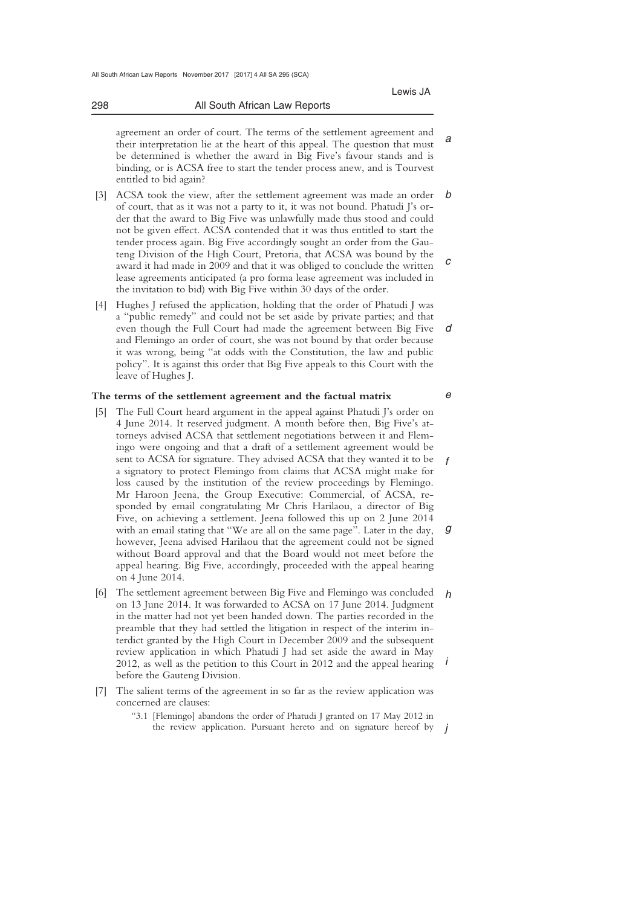*a* 

*e* 

 agreement an order of court. The terms of the settlement agreement and their interpretation lie at the heart of this appeal. The question that must be determined is whether the award in Big Five's favour stands and is binding, or is ACSA free to start the tender process anew, and is Tourvest entitled to bid again?

\_\_\_\_\_\_\_\_\_\_\_\_\_\_\_\_\_\_\_\_\_\_\_\_\_\_\_\_\_\_\_\_\_\_\_\_\_\_\_\_\_\_\_\_\_\_\_\_\_\_\_\_\_\_\_\_\_\_\_\_\_\_\_\_\_\_\_\_\_\_\_\_\_\_\_\_\_\_\_\_\_\_\_\_\_\_\_\_\_\_\_\_\_\_\_\_\_\_\_\_\_\_\_\_\_\_\_\_\_\_\_\_\_\_\_\_\_\_\_\_\_\_\_\_\_\_\_\_\_\_\_\_\_\_\_\_\_\_\_\_\_\_\_

- *b c*  [3] ACSA took the view, after the settlement agreement was made an order of court, that as it was not a party to it, it was not bound. Phatudi J's order that the award to Big Five was unlawfully made thus stood and could not be given effect. ACSA contended that it was thus entitled to start the tender process again. Big Five accordingly sought an order from the Gauteng Division of the High Court, Pretoria, that ACSA was bound by the award it had made in 2009 and that it was obliged to conclude the written lease agreements anticipated (a pro forma lease agreement was included in the invitation to bid) with Big Five within 30 days of the order.
- *d*  [4] Hughes J refused the application, holding that the order of Phatudi J was a "public remedy" and could not be set aside by private parties; and that even though the Full Court had made the agreement between Big Five and Flemingo an order of court, she was not bound by that order because it was wrong, being "at odds with the Constitution, the law and public policy". It is against this order that Big Five appeals to this Court with the leave of Hughes J.

### **The terms of the settlement agreement and the factual matrix**

- *f g*  [5] The Full Court heard argument in the appeal against Phatudi J's order on 4 June 2014. It reserved judgment. A month before then, Big Five's attorneys advised ACSA that settlement negotiations between it and Flemingo were ongoing and that a draft of a settlement agreement would be sent to ACSA for signature. They advised ACSA that they wanted it to be a signatory to protect Flemingo from claims that ACSA might make for loss caused by the institution of the review proceedings by Flemingo. Mr Haroon Jeena, the Group Executive: Commercial, of ACSA, responded by email congratulating Mr Chris Harilaou, a director of Big Five, on achieving a settlement. Jeena followed this up on 2 June 2014 with an email stating that "We are all on the same page". Later in the day, however, Jeena advised Harilaou that the agreement could not be signed without Board approval and that the Board would not meet before the appeal hearing. Big Five, accordingly, proceeded with the appeal hearing on 4 June 2014.
- *h i*  [6] The settlement agreement between Big Five and Flemingo was concluded on 13 June 2014. It was forwarded to ACSA on 17 June 2014. Judgment in the matter had not yet been handed down. The parties recorded in the preamble that they had settled the litigation in respect of the interim interdict granted by the High Court in December 2009 and the subsequent review application in which Phatudi J had set aside the award in May 2012, as well as the petition to this Court in 2012 and the appeal hearing before the Gauteng Division.
- [7] The salient terms of the agreement in so far as the review application was concerned are clauses:
	- the review application. Pursuant hereto and on signature hereof by  $j$ "3.1 [Flemingo] abandons the order of Phatudi J granted on 17 May 2012 in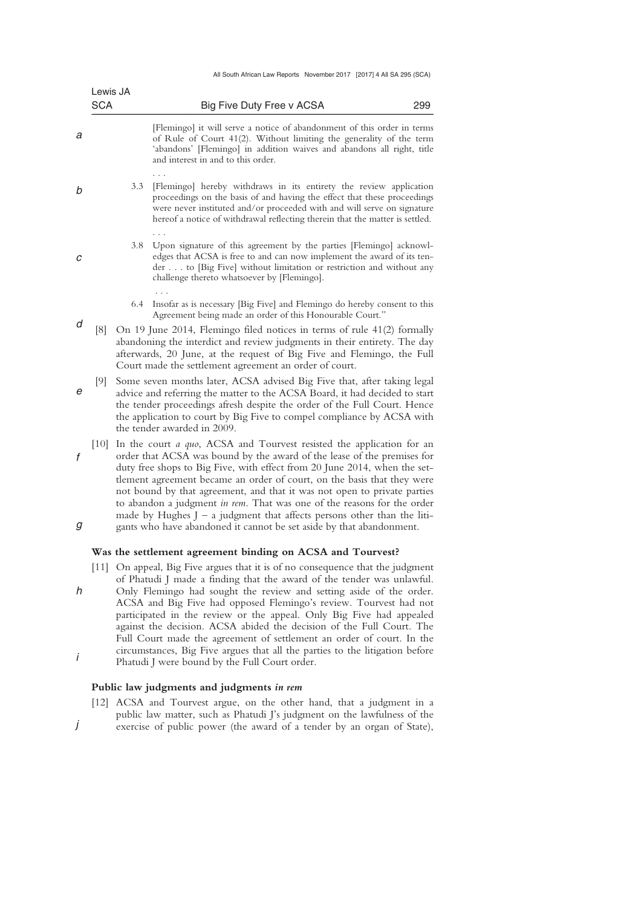| All South African Law Reports November 2017 [2017] 4 All SA 295 (SCA) |  |  |
|-----------------------------------------------------------------------|--|--|
|                                                                       |  |  |

|   | Lewis JA<br><b>SCA</b> |     | Big Five Duty Free v ACSA                                                                                                                                                                                                                                                                                                                                                                                                                                                                                                                            | 299 |
|---|------------------------|-----|------------------------------------------------------------------------------------------------------------------------------------------------------------------------------------------------------------------------------------------------------------------------------------------------------------------------------------------------------------------------------------------------------------------------------------------------------------------------------------------------------------------------------------------------------|-----|
| а |                        |     | [Flemingo] it will serve a notice of abandonment of this order in terms<br>of Rule of Court 41(2). Without limiting the generality of the term<br>'abandons' [Flemingo] in addition waives and abandons all right, title<br>and interest in and to this order.                                                                                                                                                                                                                                                                                       |     |
| b |                        | 3.3 | [Flemingo] hereby withdraws in its entirety the review application<br>proceedings on the basis of and having the effect that these proceedings<br>were never instituted and/or proceeded with and will serve on signature<br>here of a notice of withdrawal reflecting therein that the matter is settled.                                                                                                                                                                                                                                           |     |
| с |                        | 3.8 | Upon signature of this agreement by the parties [Flemingo] acknowl-<br>edges that ACSA is free to and can now implement the award of its ten-<br>der to [Big Five] without limitation or restriction and without any<br>challenge thereto whatsoever by [Flemingo].                                                                                                                                                                                                                                                                                  |     |
|   |                        | 6.4 | Insofar as is necessary [Big Five] and Flemingo do hereby consent to this<br>Agreement being made an order of this Honourable Court."                                                                                                                                                                                                                                                                                                                                                                                                                |     |
| d | [8]                    |     | On 19 June 2014, Flemingo filed notices in terms of rule 41(2) formally<br>abandoning the interdict and review judgments in their entirety. The day<br>afterwards, 20 June, at the request of Big Five and Flemingo, the Full<br>Court made the settlement agreement an order of court.                                                                                                                                                                                                                                                              |     |
| e | [9]                    |     | Some seven months later, ACSA advised Big Five that, after taking legal<br>advice and referring the matter to the ACSA Board, it had decided to start<br>the tender proceedings afresh despite the order of the Full Court. Hence<br>the application to court by Big Five to compel compliance by ACSA with<br>the tender awarded in 2009.                                                                                                                                                                                                           |     |
| f | $\left[10\right]$      |     | In the court <i>a quo</i> , ACSA and Tourvest resisted the application for an<br>order that ACSA was bound by the award of the lease of the premises for<br>duty free shops to Big Five, with effect from 20 June 2014, when the set-<br>tlement agreement became an order of court, on the basis that they were<br>not bound by that agreement, and that it was not open to private parties<br>to abandon a judgment in rem. That was one of the reasons for the order<br>made by Hughes $J - a$ judgment that affects persons other than the liti- |     |
| g |                        |     | gants who have abandoned it cannot be set aside by that abandonment.<br>Was the settlement agreement binding on ACSA and Tourvest?                                                                                                                                                                                                                                                                                                                                                                                                                   |     |
| h |                        |     | [11] On appeal, Big Five argues that it is of no consequence that the judgment<br>of Phatudi J made a finding that the award of the tender was unlawful.<br>Only Flemingo had sought the review and setting aside of the order.<br>ACSA and Big Five had opposed Flemingo's review. Tourvest had not<br>participated in the review or the anneal. Only Big Ewe had annealed                                                                                                                                                                          |     |

*i*  participated in the review or the appeal. Only Big Five had appealed against the decision. ACSA abided the decision of the Full Court. The Full Court made the agreement of settlement an order of court. In the circumstances, Big Five argues that all the parties to the litigation before Phatudi J were bound by the Full Court order.

# **Public law judgments and judgments** *in rem*

*j*  [12] ACSA and Tourvest argue, on the other hand, that a judgment in a public law matter, such as Phatudi J's judgment on the lawfulness of the exercise of public power (the award of a tender by an organ of State),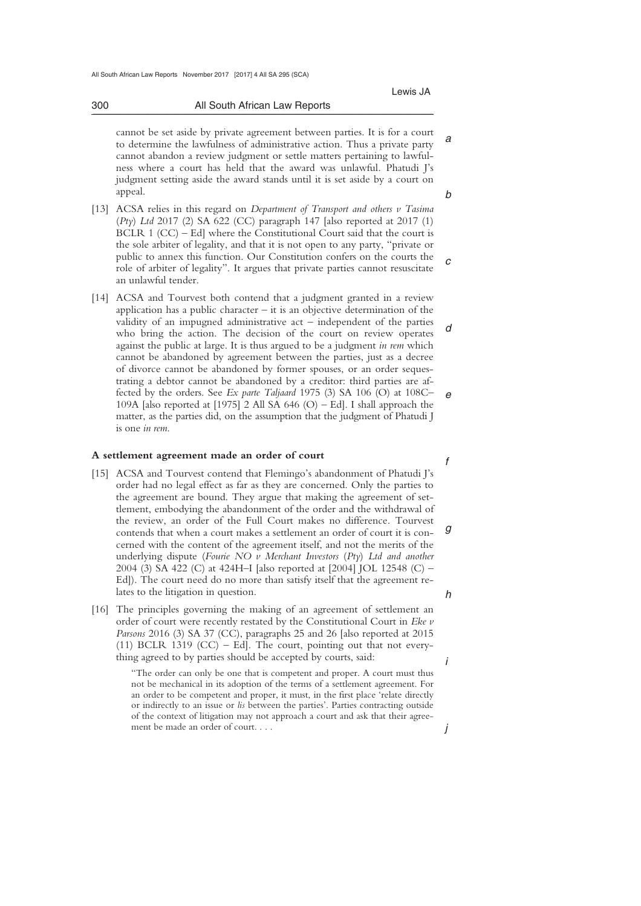*a* 

*b* 

#### 300 All South African Law Reports \_\_\_\_\_\_\_\_\_\_\_\_\_\_\_\_\_\_\_\_\_\_\_\_\_\_\_\_\_\_\_\_\_\_\_\_\_\_\_\_\_\_\_\_\_\_\_\_\_\_\_\_\_\_\_\_\_\_\_\_\_\_\_\_\_\_\_\_\_\_\_\_\_\_\_\_\_\_\_\_\_\_\_\_\_\_\_\_\_\_\_\_\_\_\_\_\_\_\_\_\_\_\_\_\_\_\_\_\_\_\_\_\_\_\_\_\_\_\_\_\_\_\_\_\_\_\_\_\_\_\_\_\_\_\_\_\_\_\_\_\_\_\_

 cannot be set aside by private agreement between parties. It is for a court to determine the lawfulness of administrative action. Thus a private party cannot abandon a review judgment or settle matters pertaining to lawfulness where a court has held that the award was unlawful. Phatudi J's judgment setting aside the award stands until it is set aside by a court on appeal.

- *c*  [13] ACSA relies in this regard on *Department of Transport and others v Tasima*  (*Pty*) *Ltd* 2017 (2) SA 622 (CC) paragraph 147 [also reported at 2017 (1) BCLR 1 (CC) – Ed] where the Constitutional Court said that the court is the sole arbiter of legality, and that it is not open to any party, "private or public to annex this function. Our Constitution confers on the courts the role of arbiter of legality". It argues that private parties cannot resuscitate an unlawful tender.
- *d e*  [14] ACSA and Tourvest both contend that a judgment granted in a review application has a public character – it is an objective determination of the validity of an impugned administrative act – independent of the parties who bring the action. The decision of the court on review operates against the public at large. It is thus argued to be a judgment *in rem* which cannot be abandoned by agreement between the parties, just as a decree of divorce cannot be abandoned by former spouses, or an order sequestrating a debtor cannot be abandoned by a creditor: third parties are affected by the orders. See *Ex parte Taljaard* 1975 (3) SA 106 (O) at 108C– 109A [also reported at  $[1975]$  2 All SA 646 (O) – Ed]. I shall approach the matter, as the parties did, on the assumption that the judgment of Phatudi J is one *in rem*.

### **A settlement agreement made an order of court**

- *g h*  [15] ACSA and Tourvest contend that Flemingo's abandonment of Phatudi J's order had no legal effect as far as they are concerned. Only the parties to the agreement are bound. They argue that making the agreement of settlement, embodying the abandonment of the order and the withdrawal of the review, an order of the Full Court makes no difference. Tourvest contends that when a court makes a settlement an order of court it is concerned with the content of the agreement itself, and not the merits of the underlying dispute (*Fourie NO v Merchant Investors* (*Pty*) *Ltd and another* 2004 (3) SA 422 (C) at 424H–I [also reported at [2004] JOL 12548 (C) – Ed]). The court need do no more than satisfy itself that the agreement relates to the litigation in question.
- [16] The principles governing the making of an agreement of settlement an order of court were recently restated by the Constitutional Court in *Eke v Parsons* 2016 (3) SA 37 (CC), paragraphs 25 and 26 [also reported at 2015 (11) BCLR 1319 (CC) – Ed]. The court, pointing out that not everything agreed to by parties should be accepted by courts, said:

"The order can only be one that is competent and proper. A court must thus not be mechanical in its adoption of the terms of a settlement agreement. For an order to be competent and proper, it must, in the first place 'relate directly or indirectly to an issue or *lis* between the parties'. Parties contracting outside of the context of litigation may not approach a court and ask that their agreement be made an order of court. . . .

*f* 

*i* 

*j*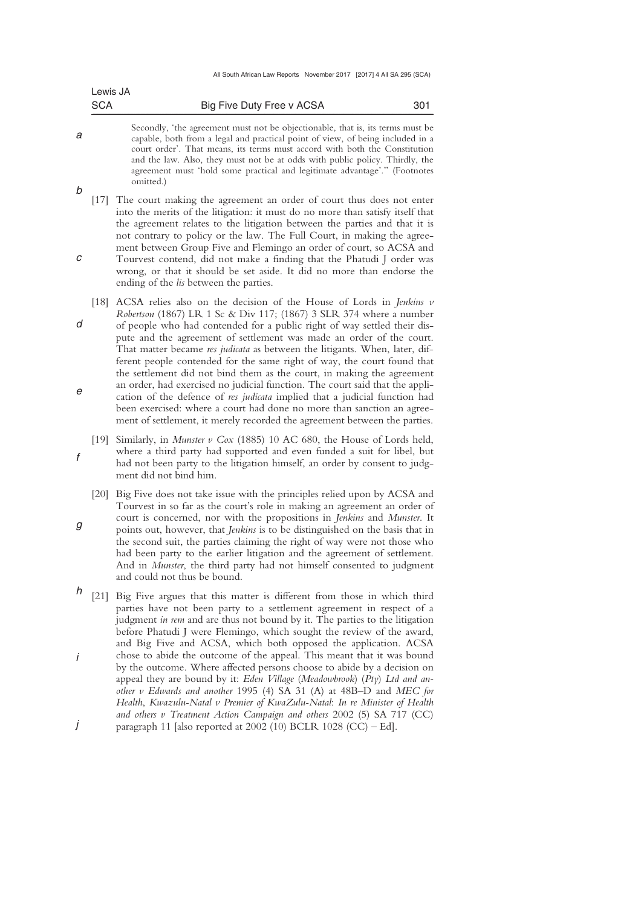|        | Lewis JA   |                                                                                                                                                                                                                                                                                                                                                                                                                                                                                                                                                                                                                                                                                                                                                                                                                                                           |
|--------|------------|-----------------------------------------------------------------------------------------------------------------------------------------------------------------------------------------------------------------------------------------------------------------------------------------------------------------------------------------------------------------------------------------------------------------------------------------------------------------------------------------------------------------------------------------------------------------------------------------------------------------------------------------------------------------------------------------------------------------------------------------------------------------------------------------------------------------------------------------------------------|
|        | <b>SCA</b> | Big Five Duty Free v ACSA<br>301                                                                                                                                                                                                                                                                                                                                                                                                                                                                                                                                                                                                                                                                                                                                                                                                                          |
| а      |            | Secondly, 'the agreement must not be objectionable, that is, its terms must be<br>capable, both from a legal and practical point of view, of being included in a<br>court order'. That means, its terms must accord with both the Constitution<br>and the law. Also, they must not be at odds with public policy. Thirdly, the<br>agreement must 'hold some practical and legitimate advantage'." (Footnotes<br>omitted.)                                                                                                                                                                                                                                                                                                                                                                                                                                 |
| b<br>с |            | [17] The court making the agreement an order of court thus does not enter<br>into the merits of the litigation: it must do no more than satisfy itself that<br>the agreement relates to the litigation between the parties and that it is<br>not contrary to policy or the law. The Full Court, in making the agree-<br>ment between Group Five and Flemingo an order of court, so ACSA and<br>Tourvest contend, did not make a finding that the Phatudi J order was<br>wrong, or that it should be set aside. It did no more than endorse the<br>ending of the lis between the parties.                                                                                                                                                                                                                                                                  |
| d<br>е | $[18]$     | ACSA relies also on the decision of the House of Lords in Jenkins $v$<br>Robertson (1867) LR 1 Sc & Div 117; (1867) 3 SLR 374 where a number<br>of people who had contended for a public right of way settled their dis-<br>pute and the agreement of settlement was made an order of the court.<br>That matter became res judicata as between the litigants. When, later, dif-<br>ferent people contended for the same right of way, the court found that<br>the settlement did not bind them as the court, in making the agreement<br>an order, had exercised no judicial function. The court said that the appli-<br>cation of the defence of res judicata implied that a judicial function had<br>been exercised: where a court had done no more than sanction an agree-<br>ment of settlement, it merely recorded the agreement between the parties. |
| f      | [19]       | Similarly, in Munster $v$ Cox (1885) 10 AC 680, the House of Lords held,<br>where a third party had supported and even funded a suit for libel, but<br>had not been party to the litigation himself, an order by consent to judg-<br>ment did not bind him.                                                                                                                                                                                                                                                                                                                                                                                                                                                                                                                                                                                               |
| g      |            | [20] Big Five does not take issue with the principles relied upon by ACSA and<br>Tourvest in so far as the court's role in making an agreement an order of<br>court is concerned, nor with the propositions in Jenkins and Munster. It<br>points out, however, that Jenkins is to be distinguished on the basis that in<br>the second suit, the parties claiming the right of way were not those who<br>had been party to the earlier litigation and the agreement of settlement.<br>And in Munster, the third party had not himself consented to judgment<br>and could not thus be bound.                                                                                                                                                                                                                                                                |
| h<br>İ |            | [21] Big Five argues that this matter is different from those in which third<br>parties have not been party to a settlement agreement in respect of a<br>judgment in rem and are thus not bound by it. The parties to the litigation<br>before Phatudi J were Flemingo, which sought the review of the award,<br>and Big Five and ACSA, which both opposed the application. ACSA<br>chose to abide the outcome of the appeal. This meant that it was bound<br>by the outcome. Where affected persons choose to abide by a decision on<br>appeal they are bound by it: Eden Village (Meadowbrook) (Pty) Ltd and an-<br>other v Edwards and another 1995 (4) SA 31 (A) at 48B-D and MEC for<br>Health, Kwazulu-Natal v Premier of KwaZulu-Natal: In re Minister of Health<br>and others v Treatment Action Campaign and others 2002 (5) SA 717 (CC)         |
|        |            | paragraph 11 [also reported at 2002 (10) BCLR 1028 (CC) - Ed].                                                                                                                                                                                                                                                                                                                                                                                                                                                                                                                                                                                                                                                                                                                                                                                            |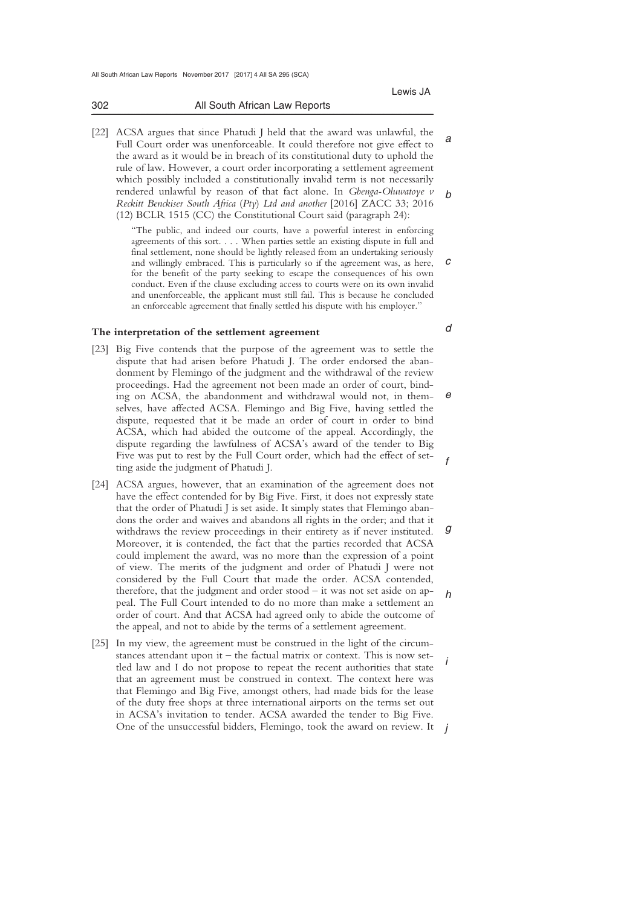| 302 | All South African Law Reports                                               |  |  |
|-----|-----------------------------------------------------------------------------|--|--|
|     | [22] ACSA argues that since Phatudi J held that the award was unlawful, the |  |  |

*a b*  Full Court order was unenforceable. It could therefore not give effect to the award as it would be in breach of its constitutional duty to uphold the rule of law. However, a court order incorporating a settlement agreement which possibly included a constitutionally invalid term is not necessarily rendered unlawful by reason of that fact alone. In *Gbenga-Oluwatoye v Reckitt Benckiser South Africa* (*Pty*) *Ltd and another* [2016] ZACC 33; 2016 (12) BCLR 1515 (CC) the Constitutional Court said (paragraph 24):

"The public, and indeed our courts, have a powerful interest in enforcing agreements of this sort. . . . When parties settle an existing dispute in full and final settlement, none should be lightly released from an undertaking seriously and willingly embraced. This is particularly so if the agreement was, as here, for the benefit of the party seeking to escape the consequences of his own conduct. Even if the clause excluding access to courts were on its own invalid and unenforceable, the applicant must still fail. This is because he concluded an enforceable agreement that finally settled his dispute with his employer."

#### **The interpretation of the settlement agreement**

- [23] Big Five contends that the purpose of the agreement was to settle the dispute that had arisen before Phatudi J. The order endorsed the abandonment by Flemingo of the judgment and the withdrawal of the review proceedings. Had the agreement not been made an order of court, binding on ACSA, the abandonment and withdrawal would not, in themselves, have affected ACSA. Flemingo and Big Five, having settled the dispute, requested that it be made an order of court in order to bind ACSA, which had abided the outcome of the appeal. Accordingly, the dispute regarding the lawfulness of ACSA's award of the tender to Big Five was put to rest by the Full Court order, which had the effect of setting aside the judgment of Phatudi J.
- *g h*  [24] ACSA argues, however, that an examination of the agreement does not have the effect contended for by Big Five. First, it does not expressly state that the order of Phatudi J is set aside. It simply states that Flemingo abandons the order and waives and abandons all rights in the order; and that it withdraws the review proceedings in their entirety as if never instituted. Moreover, it is contended, the fact that the parties recorded that ACSA could implement the award, was no more than the expression of a point of view. The merits of the judgment and order of Phatudi J were not considered by the Full Court that made the order. ACSA contended, therefore, that the judgment and order stood – it was not set aside on appeal. The Full Court intended to do no more than make a settlement an order of court. And that ACSA had agreed only to abide the outcome of the appeal, and not to abide by the terms of a settlement agreement.
- *i*  One of the unsuccessful bidders, Flemingo, took the award on review. It *j* [25] In my view, the agreement must be construed in the light of the circumstances attendant upon it – the factual matrix or context. This is now settled law and I do not propose to repeat the recent authorities that state that an agreement must be construed in context. The context here was that Flemingo and Big Five, amongst others, had made bids for the lease of the duty free shops at three international airports on the terms set out in ACSA's invitation to tender. ACSA awarded the tender to Big Five.

*c* 

*d* 

*e* 

*f*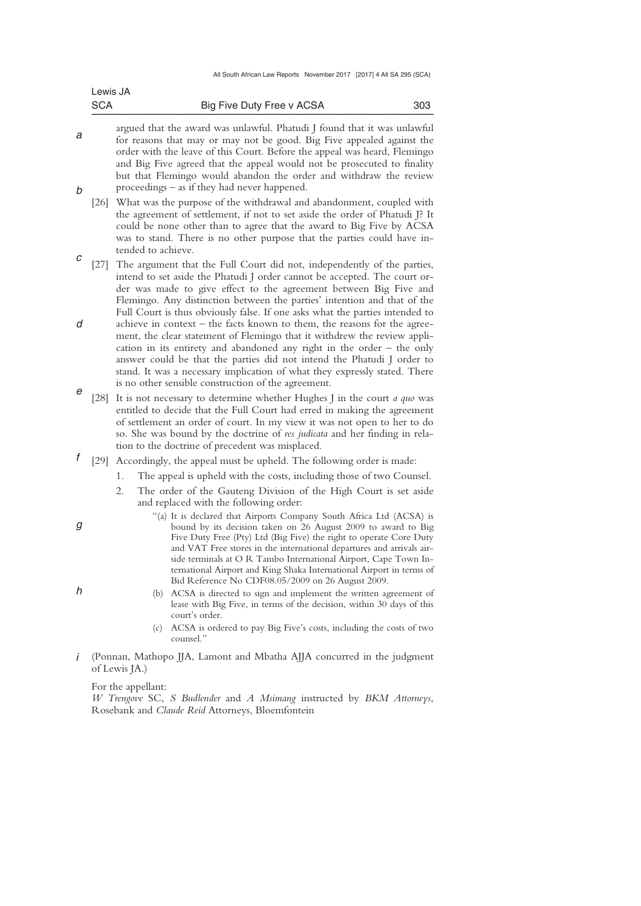| <b>SCA</b> | Big Five Duty Free v ACSA | 303 |
|------------|---------------------------|-----|
| Lewis JA   |                           |     |

- *a b*  argued that the award was unlawful. Phatudi J found that it was unlawful for reasons that may or may not be good. Big Five appealed against the order with the leave of this Court. Before the appeal was heard, Flemingo and Big Five agreed that the appeal would not be prosecuted to finality but that Flemingo would abandon the order and withdraw the review proceedings – as if they had never happened.
- [26] What was the purpose of the withdrawal and abandonment, coupled with the agreement of settlement, if not to set aside the order of Phatudi J? It could be none other than to agree that the award to Big Five by ACSA was to stand. There is no other purpose that the parties could have intended to achieve.
- *c d e*  [27] The argument that the Full Court did not, independently of the parties, intend to set aside the Phatudi J order cannot be accepted. The court order was made to give effect to the agreement between Big Five and Flemingo. Any distinction between the parties' intention and that of the Full Court is thus obviously false. If one asks what the parties intended to achieve in context – the facts known to them, the reasons for the agreement, the clear statement of Flemingo that it withdrew the review application in its entirety and abandoned any right in the order – the only answer could be that the parties did not intend the Phatudi J order to stand. It was a necessary implication of what they expressly stated. There is no other sensible construction of the agreement.
- [28] It is not necessary to determine whether Hughes J in the court *a quo* was entitled to decide that the Full Court had erred in making the agreement of settlement an order of court. In my view it was not open to her to do so. She was bound by the doctrine of *res judicata* and her finding in relation to the doctrine of precedent was misplaced.
- *f*  [29] Accordingly, the appeal must be upheld. The following order is made:
	- 1. The appeal is upheld with the costs, including those of two Counsel.
	- 2. The order of the Gauteng Division of the High Court is set aside and replaced with the following order:
		- "(a) It is declared that Airports Company South Africa Ltd (ACSA) is bound by its decision taken on 26 August 2009 to award to Big Five Duty Free (Pty) Ltd (Big Five) the right to operate Core Duty and VAT Free stores in the international departures and arrivals airside terminals at O R Tambo International Airport, Cape Town International Airport and King Shaka International Airport in terms of Bid Reference No CDF08.05/2009 on 26 August 2009.
		- (b) ACSA is directed to sign and implement the written agreement of lease with Big Five, in terms of the decision, within 30 days of this court's order.
		- (c) ACSA is ordered to pay Big Five's costs, including the costs of two counsel<sup>"</sup>
- *i*  (Ponnan, Mathopo JJA, Lamont and Mbatha AJJA concurred in the judgment of Lewis JA.)

For the appellant:

*W Trengove* SC, *S Budlender* and *A Msimang* instructed by *BKM Attorneys*, Rosebank and *Claude Reid* Attorneys, Bloemfontein

*h* 

*g*